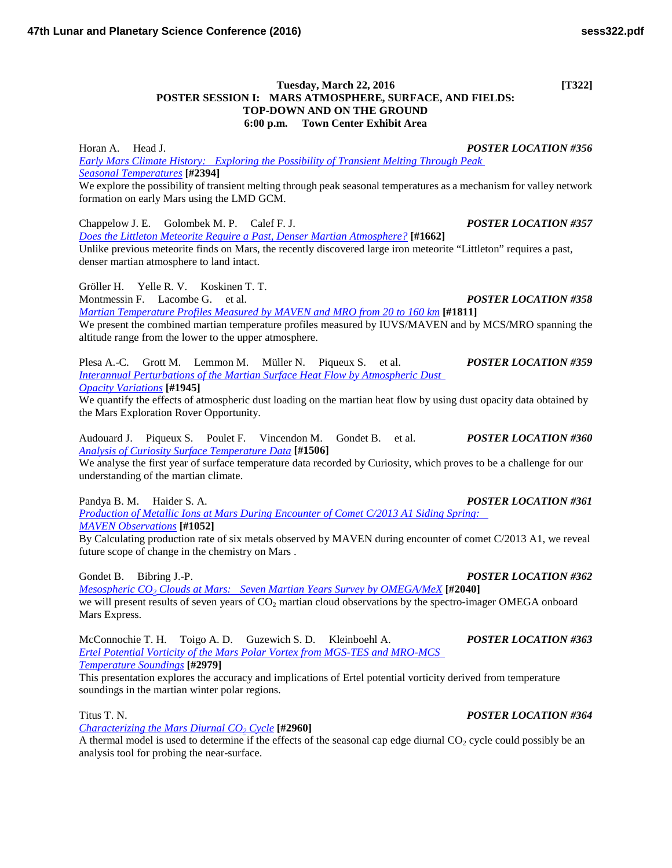## **Tuesday, March 22, 2016 [T322] POSTER SESSION I: MARS ATMOSPHERE, SURFACE, AND FIELDS: TOP-DOWN AND ON THE GROUND 6:00 p.m. Town Center Exhibit Area**

Horan A. Head J. *POSTER LOCATION #356 [Early Mars Climate History: Exploring the Possibility of Transient Melting Through Peak](http://www.hou.usra.edu/meetings/lpsc2016/pdf/2394.pdf)  Seasonal [Temperatures](http://www.hou.usra.edu/meetings/lpsc2016/pdf/2394.pdf)* **[#2394]** We explore the possibility of transient melting through peak seasonal temperatures as a mechanism for valley network formation on early Mars using the LMD GCM.

Chappelow J. E. Golombek M. P. Calef F. J. *POSTER LOCATION #357 [Does the Littleton Meteorite Require a Past, Denser Martian](http://www.hou.usra.edu/meetings/lpsc2016/pdf/1662.pdf) Atmosphere?* **[#1662]** Unlike previous meteorite finds on Mars, the recently discovered large iron meteorite "Littleton" requires a past, denser martian atmosphere to land intact.

Gröller H. Yelle R. V. Koskinen T. T. Montmessin F. Lacombe G. et al. *POSTER LOCATION #358 [Martian Temperature Profiles Measured by MAVEN and MRO from 20 to 160](http://www.hou.usra.edu/meetings/lpsc2016/pdf/1811.pdf) km* **[#1811]** We present the combined martian temperature profiles measured by IUVS/MAVEN and by MCS/MRO spanning the

Plesa A.-C. Grott M. Lemmon M. Müller N. Piqueux S. et al. *POSTER LOCATION #359 [Interannual Perturbations of the Martian Surface Heat Flow by Atmospheric Dust](http://www.hou.usra.edu/meetings/lpsc2016/pdf/1945.pdf)  Opacity [Variations](http://www.hou.usra.edu/meetings/lpsc2016/pdf/1945.pdf)* **[#1945]**

We quantify the effects of atmospheric dust loading on the martian heat flow by using dust opacity data obtained by the Mars Exploration Rover Opportunity.

Audouard J. Piqueux S. Poulet F. Vincendon M. Gondet B. et al. *POSTER LOCATION #360 [Analysis of Curiosity Surface Temperature](http://www.hou.usra.edu/meetings/lpsc2016/pdf/1506.pdf) Data* **[#1506]**

altitude range from the lower to the upper atmosphere.

We analyse the first year of surface temperature data recorded by Curiosity, which proves to be a challenge for our understanding of the martian climate.

Pandya B. M. Haider S. A. *POSTER LOCATION #361*

*[Production of Metallic Ions at Mars During Encounter of Comet C/2013 A1 Siding Spring:](http://www.hou.usra.edu/meetings/lpsc2016/pdf/1052.pdf)  MAVEN [Observations](http://www.hou.usra.edu/meetings/lpsc2016/pdf/1052.pdf)* **[#1052]**

By Calculating production rate of six metals observed by MAVEN during encounter of comet C/2013 A1, we reveal future scope of change in the chemistry on Mars .

*Mesospheric CO2 [Clouds at Mars: Seven Martian Years Survey by](http://www.hou.usra.edu/meetings/lpsc2016/pdf/2040.pdf) OMEGA/MeX* **[#2040]** we will present results of seven years of CO<sub>2</sub> martian cloud observations by the spectro-imager OMEGA onboard Mars Express.

McConnochie T. H. Toigo A. D. Guzewich S. D. Kleinboehl A. *POSTER LOCATION #363 [Ertel Potential Vorticity of the Mars Polar Vortex from MGS-TES and MRO-MCS](http://www.hou.usra.edu/meetings/lpsc2016/pdf/2979.pdf)  [Temperature](http://www.hou.usra.edu/meetings/lpsc2016/pdf/2979.pdf) Soundings* **[#2979]**

This presentation explores the accuracy and implications of Ertel potential vorticity derived from temperature soundings in the martian winter polar regions.

Titus T. N. *POSTER LOCATION #364*

*[Characterizing the Mars Diurnal CO2](http://www.hou.usra.edu/meetings/lpsc2016/pdf/2960.pdf) Cycle* **[#2960]**

A thermal model is used to determine if the effects of the seasonal cap edge diurnal  $CO<sub>2</sub>$  cycle could possibly be an analysis tool for probing the near-surface.

Gondet B. Bibring J.-P. *POSTER LOCATION #362*